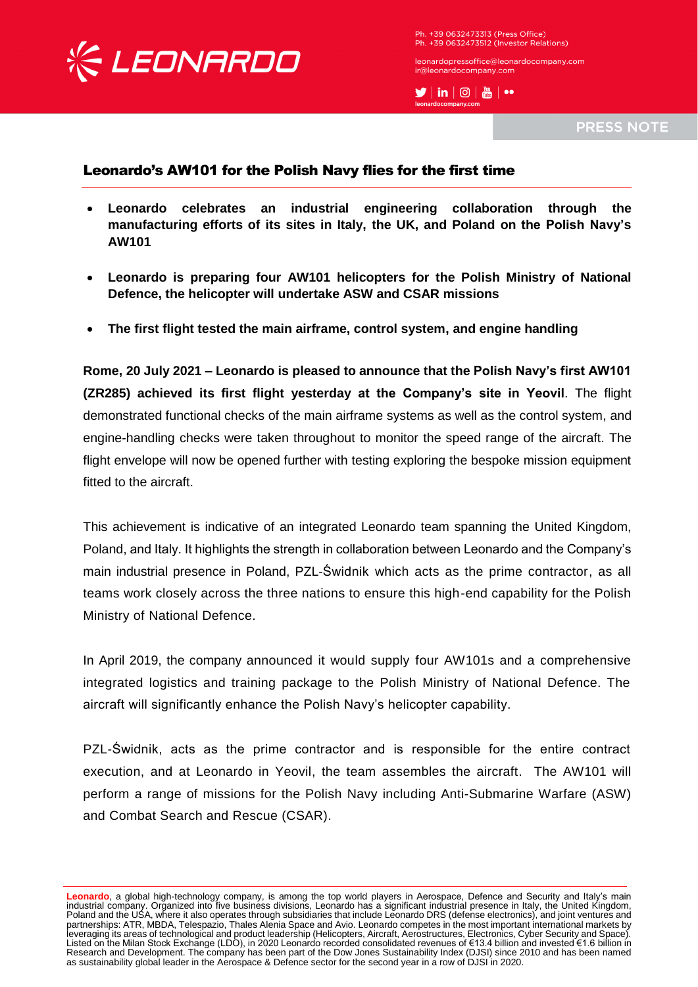

Ph. +39 0632473313 (Press Office) Ph. +39 0632473512 (Investor Relations)

leonardopressoffice@leonardocompany.com ir@leonardocompany.com

 $\blacktriangleright$   $\mid$  in  $\mid$   $\odot$   $\mid$   $\stackrel{w}{\text{on}}$   $\mid$   $\rightsquigarrow$ 

**PRESS NOTE** 

## Leonardo's AW101 for the Polish Navy flies for the first time

- **Leonardo celebrates an industrial engineering collaboration through the manufacturing efforts of its sites in Italy, the UK, and Poland on the Polish Navy's AW101**
- **Leonardo is preparing four AW101 helicopters for the Polish Ministry of National Defence, the helicopter will undertake ASW and CSAR missions**
- **The first flight tested the main airframe, control system, and engine handling**

**Rome, 20 July 2021 – Leonardo is pleased to announce that the Polish Navy's first AW101 (ZR285) achieved its first flight yesterday at the Company's site in Yeovil**. The flight demonstrated functional checks of the main airframe systems as well as the control system, and engine-handling checks were taken throughout to monitor the speed range of the aircraft. The flight envelope will now be opened further with testing exploring the bespoke mission equipment fitted to the aircraft.

This achievement is indicative of an integrated Leonardo team spanning the United Kingdom, Poland, and Italy. It highlights the strength in collaboration between Leonardo and the Company's main industrial presence in Poland, PZL-Świdnik which acts as the prime contractor, as all teams work closely across the three nations to ensure this high-end capability for the Polish Ministry of National Defence.

In April 2019, the company announced it would supply four AW101s and a comprehensive integrated logistics and training package to the Polish Ministry of National Defence. The aircraft will significantly enhance the Polish Navy's helicopter capability.

PZL-Świdnik, acts as the prime contractor and is responsible for the entire contract execution, and at Leonardo in Yeovil, the team assembles the aircraft. The AW101 will perform a range of missions for the Polish Navy including Anti-Submarine Warfare (ASW) and Combat Search and Rescue (CSAR).

**Leonardo**, a global high-technology company, is among the top world players in Aerospace, Defence and Security and Italy's main industrial company. Organized into five business divisions, Leonardo has a significant industrial presence in Italy, the United Kingdom, Poland and the USA, where it also operates through subsidiaries that include Leonardo DRS (defense electronics), and joint ventures and partnerships: ATR, MBDA, Telespazio, Thales Alenia Space and Avio. Leonardo competes in the most important international markets by leveraging its areas of technological and product leadership (Helicopters, Aircraft, Aerostructures, Electronics, Cyber Security and Space). Listed on the Milan Stock Exchange (LDO), in 2020 Leonardo recorded consolidated revenues of €13.4 billion and invested €1.6 billion in Research and Development. The company has been part of the Dow Jones Sustainability Index (DJSI) since 2010 and has been named as sustainability global leader in the Aerospace & Defence sector for the second year in a row of DJSI in 2020.